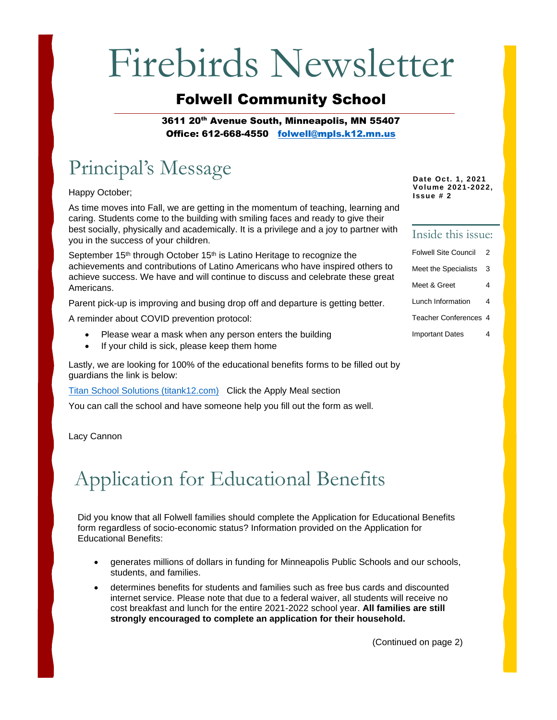# Firebirds Newsletter

### Folwell Community School

3611 20<sup>th</sup> Avenue South, Minneapolis, MN 55407 Office: 612-668-4550 [folwell@mpls.k12.mn.us](mailto:folwell@mpls.k12.mn.us)

### Principal's Message

Happy October;

As time moves into Fall, we are getting in the momentum of teaching, learning and caring. Students come to the building with smiling faces and ready to give their best socially, physically and academically. It is a privilege and a joy to partner with you in the success of your children.

September 15<sup>th</sup> through October 15<sup>th</sup> is Latino Heritage to recognize the achievements and contributions of Latino Americans who have inspired others to achieve success. We have and will continue to discuss and celebrate these great Americans.

Parent pick-up is improving and busing drop off and departure is getting better.

A reminder about COVID prevention protocol:

- Please wear a mask when any person enters the building
- If your child is sick, please keep them home

Lastly, we are looking for 100% of the educational benefits forms to be filled out by guardians the link is below:

[Titan School Solutions \(titank12.com\)](https://family.titank12.com/) Click the Apply Meal section

You can call the school and have someone help you fill out the form as well.

Lacy Cannon

### Application for Educational Benefits

Did you know that all Folwell families should complete the Application for Educational Benefits form regardless of socio-economic status? Information provided on the Application for Educational Benefits:

- generates millions of dollars in funding for Minneapolis Public Schools and our schools, students, and families.
- determines benefits for students and families such as free bus cards and discounted internet service. Please note that due to a federal waiver, all students will receive no cost breakfast and lunch for the entire 2021-2022 school year. **All families are still strongly encouraged to complete an application for their household.**

**Date Oct. 1, 2021 Volume 2021-2022, Issue # 2**

### Inside this issue:

| <b>Folwell Site Council</b> | 2 |
|-----------------------------|---|
| Meet the Specialists        | 3 |
| Meet & Greet                | 4 |
| Lunch Information           | 4 |
| Teacher Conferences 4       |   |

Important Dates 4

(Continued on page 2)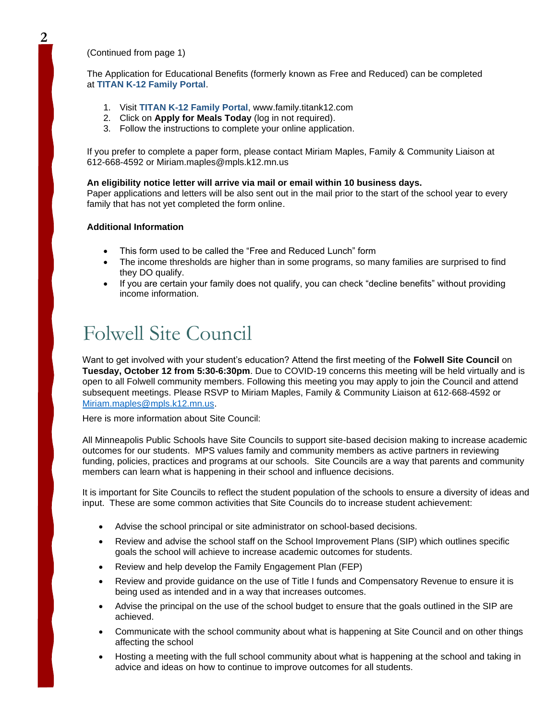(Continued from page 1)

The Application for Educational Benefits (formerly known as Free and Reduced) can be completed at **[TITAN K-12 Family Portal](https://family.titank12.com/)**.

- 1. Visit **[TITAN K-12 Family Portal](https://family.titank12.com/)**, www.family.titank12.com
- 2. Click on **Apply for Meals Today** (log in not required).
- 3. Follow the instructions to complete your online application.

If you prefer to complete a paper form, please contact Miriam Maples, Family & Community Liaison at 612-668-4592 or Miriam.maples@mpls.k12.mn.us

#### **An eligibility notice letter will arrive via mail or email within 10 business days.**

Paper applications and letters will be also sent out in the mail prior to the start of the school year to every family that has not yet completed the form online.

#### **Additional Information**

- This form used to be called the "Free and Reduced Lunch" form
- The income thresholds are higher than in some programs, so many families are surprised to find they DO qualify.
- If you are certain your family does not qualify, you can check "decline benefits" without providing income information.

### Folwell Site Council

Want to get involved with your student's education? Attend the first meeting of the **Folwell Site Council** on **Tuesday, October 12 from 5:30-6:30pm**. Due to COVID-19 concerns this meeting will be held virtually and is open to all Folwell community members. Following this meeting you may apply to join the Council and attend subsequent meetings. Please RSVP to Miriam Maples, Family & Community Liaison at 612-668-4592 or [Miriam.maples@mpls.k12.mn.us.](mailto:Miriam.maples@mpls.k12.mn.us)

Here is more information about Site Council:

All Minneapolis Public Schools have Site Councils to support site-based decision making to increase academic outcomes for our students. MPS values family and community members as active partners in reviewing funding, policies, practices and programs at our schools. Site Councils are a way that parents and community members can learn what is happening in their school and influence decisions.

It is important for Site Councils to reflect the student population of the schools to ensure a diversity of ideas and input. These are some common activities that Site Councils do to increase student achievement:

- Advise the school principal or site administrator on school-based decisions.
- Review and advise the school staff on the School Improvement Plans (SIP) which outlines specific goals the school will achieve to increase academic outcomes for students.
- Review and help develop the Family Engagement Plan (FEP)
- Review and provide guidance on the use of Title I funds and Compensatory Revenue to ensure it is being used as intended and in a way that increases outcomes.
- Advise the principal on the use of the school budget to ensure that the goals outlined in the SIP are achieved.
- Communicate with the school community about what is happening at Site Council and on other things affecting the school
- Hosting a meeting with the full school community about what is happening at the school and taking in advice and ideas on how to continue to improve outcomes for all students.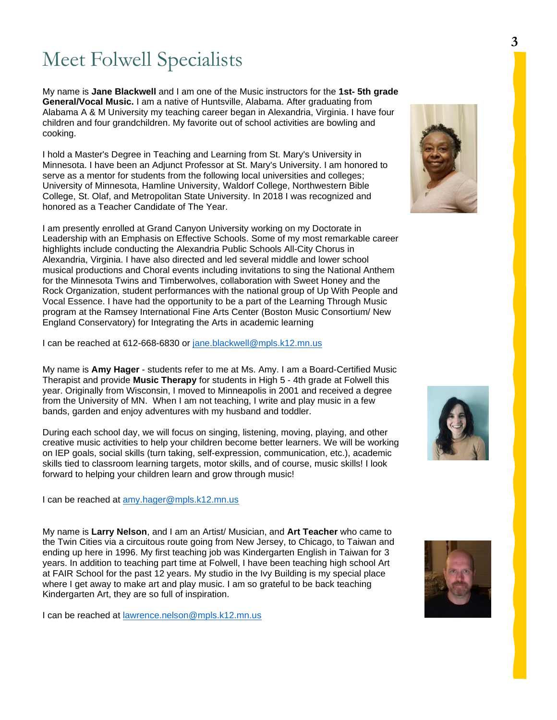### Meet Folwell Specialists

My name is **Jane Blackwell** and I am one of the Music instructors for the **1st- 5th grade General/Vocal Music.** I am a native of Huntsville, Alabama. After graduating from Alabama A & M University my teaching career began in Alexandria, Virginia. I have four children and four grandchildren. My favorite out of school activities are bowling and cooking.

I hold a Master's Degree in Teaching and Learning from St. Mary's University in Minnesota. I have been an Adjunct Professor at St. Mary's University. I am honored to serve as a mentor for students from the following local universities and colleges; University of Minnesota, Hamline University, Waldorf College, Northwestern Bible College, St. Olaf, and Metropolitan State University. In 2018 I was recognized and honored as a Teacher Candidate of The Year.

I am presently enrolled at Grand Canyon University working on my Doctorate in Leadership with an Emphasis on Effective Schools. Some of my most remarkable career highlights include conducting the Alexandria Public Schools All-City Chorus in Alexandria, Virginia. I have also directed and led several middle and lower school musical productions and Choral events including invitations to sing the National Anthem for the Minnesota Twins and Timberwolves, collaboration with Sweet Honey and the Rock Organization, student performances with the national group of Up With People and Vocal Essence. I have had the opportunity to be a part of the Learning Through Music program at the Ramsey International Fine Arts Center (Boston Music Consortium/ New England Conservatory) for Integrating the Arts in academic learning

I can be reached at 612-668-6830 or [jane.blackwell@mpls.k12.mn.us](mailto:jane.blackwell@mpls.k12.mn.us)

My name is **Amy Hager** - students refer to me at Ms. Amy. I am a Board-Certified Music Therapist and provide **Music Therapy** for students in High 5 - 4th grade at Folwell this year. Originally from Wisconsin, I moved to Minneapolis in 2001 and received a degree from the University of MN. When I am not teaching, I write and play music in a few bands, garden and enjoy adventures with my husband and toddler.

During each school day, we will focus on singing, listening, moving, playing, and other creative music activities to help your children become better learners. We will be working on IEP goals, social skills (turn taking, self-expression, communication, etc.), academic skills tied to classroom learning targets, motor skills, and of course, music skills! I look forward to helping your children learn and grow through music!

I can be reached at [amy.hager@mpls.k12.mn.us](mailto:amy.hager@mpls.k12.mn.us)

My name is **Larry Nelson**, and I am an Artist/ Musician, and **Art Teacher** who came to the Twin Cities via a circuitous route going from New Jersey, to Chicago, to Taiwan and ending up here in 1996. My first teaching job was Kindergarten English in Taiwan for 3 years. In addition to teaching part time at Folwell, I have been teaching high school Art at FAIR School for the past 12 years. My studio in the Ivy Building is my special place where I get away to make art and play music. I am so grateful to be back teaching Kindergarten Art, they are so full of inspiration.

I can be reached at [lawrence.nelson@mpls.k12.mn.us](mailto:lawrence.nelson@mpls.k12.mn.us)